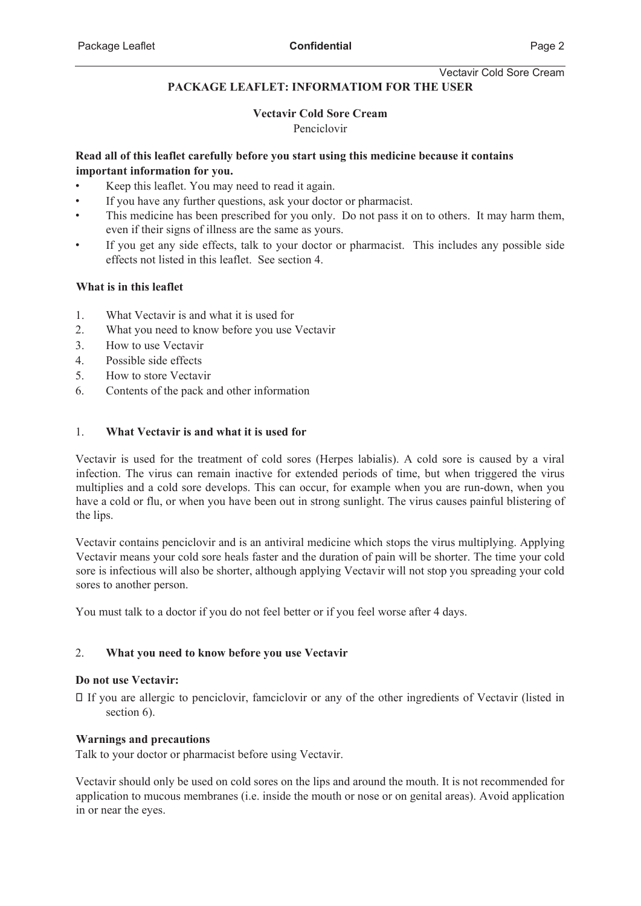Vectavir Cold Sore Cream

### **PACKAGE LEAFLET: INFORMATIOM FOR THE USER**

# **Vectavir Cold Sore Cream**

#### Penciclovir

# **Read all of this leaflet carefully before you start using this medicine because it contains important information for you.**

- Keep this leaflet. You may need to read it again.
- If you have any further questions, ask your doctor or pharmacist.
- This medicine has been prescribed for you only. Do not pass it on to others. It may harm them, even if their signs of illness are the same as yours.
- If you get any side effects, talk to your doctor or pharmacist. This includes any possible side effects not listed in this leaflet. See section 4.

# **What is in this leaflet**

- 1. What Vectavir is and what it is used for
- 2. What you need to know before you use Vectavir
- 3. How to use Vectavir
- 4. Possible side effects
- 5. How to store Vectavir
- 6. Contents of the pack and other information

### 1. **What Vectavir is and what it is used for**

Vectavir is used for the treatment of cold sores (Herpes labialis). A cold sore is caused by a viral infection. The virus can remain inactive for extended periods of time, but when triggered the virus multiplies and a cold sore develops. This can occur, for example when you are run-down, when you have a cold or flu, or when you have been out in strong sunlight. The virus causes painful blistering of the lips.

Vectavir contains penciclovir and is an antiviral medicine which stops the virus multiplying. Applying Vectavir means your cold sore heals faster and the duration of pain will be shorter. The time your cold sore is infectious will also be shorter, although applying Vectavir will not stop you spreading your cold sores to another person.

You must talk to a doctor if you do not feel better or if you feel worse after 4 days.

#### 2. **What you need to know before you use Vectavir**

#### **Do not use Vectavir:**

 If you are allergic to penciclovir, famciclovir or any of the other ingredients of Vectavir (listed in section 6).

#### **Warnings and precautions**

Talk to your doctor or pharmacist before using Vectavir.

Vectavir should only be used on cold sores on the lips and around the mouth. It is not recommended for application to mucous membranes (i.e. inside the mouth or nose or on genital areas). Avoid application in or near the eyes.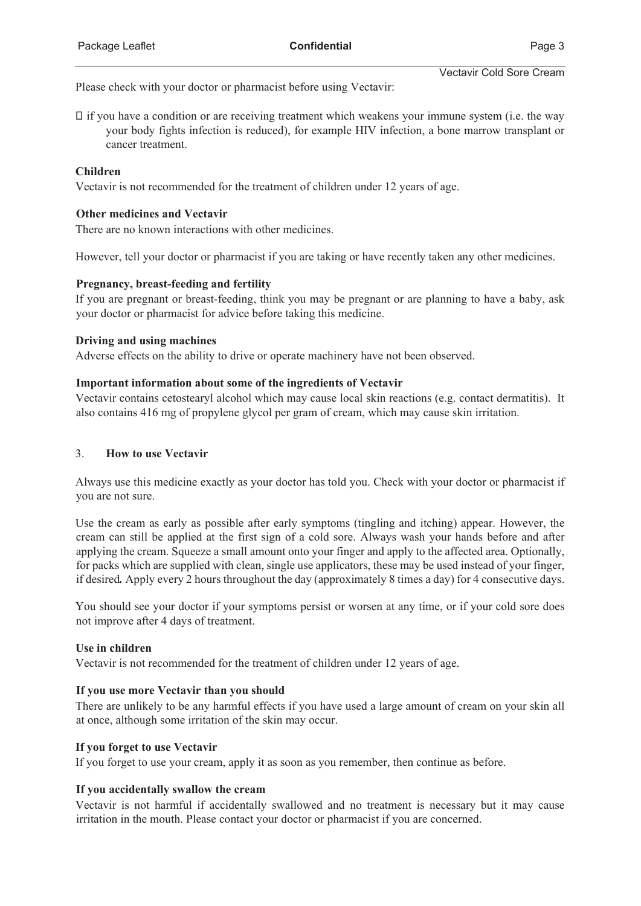Please check with your doctor or pharmacist before using Vectavir:

 $\Box$  if you have a condition or are receiving treatment which weakens your immune system (i.e. the way your body fights infection is reduced), for example HIV infection, a bone marrow transplant or cancer treatment.

# **Children**

Vectavir is not recommended for the treatment of children under 12 years of age.

### **Other medicines and Vectavir**

There are no known interactions with other medicines.

However, tell your doctor or pharmacist if you are taking or have recently taken any other medicines.

# **Pregnancy, breast-feeding and fertility**

If you are pregnant or breast-feeding, think you may be pregnant or are planning to have a baby, ask your doctor or pharmacist for advice before taking this medicine.

### **Driving and using machines**

Adverse effects on the ability to drive or operate machinery have not been observed.

# **Important information about some of the ingredients of Vectavir**

Vectavir contains cetostearyl alcohol which may cause local skin reactions (e.g. contact dermatitis). It also contains 416 mg of propylene glycol per gram of cream, which may cause skin irritation.

#### 3. **How to use Vectavir**

Always use this medicine exactly as your doctor has told you. Check with your doctor or pharmacist if you are not sure.

Use the cream as early as possible after early symptoms (tingling and itching) appear. However, the cream can still be applied at the first sign of a cold sore. Always wash your hands before and after applying the cream. Squeeze a small amount onto your finger and apply to the affected area. Optionally, for packs which are supplied with clean, single use applicators, these may be used instead of your finger, if desired*.* Apply every 2 hours throughout the day (approximately 8 times a day) for 4 consecutive days.

You should see your doctor if your symptoms persist or worsen at any time, or if your cold sore does not improve after 4 days of treatment.

#### **Use in children**

Vectavir is not recommended for the treatment of children under 12 years of age.

#### **If you use more Vectavir than you should**

There are unlikely to be any harmful effects if you have used a large amount of cream on your skin all at once, although some irritation of the skin may occur.

#### **If you forget to use Vectavir**

If you forget to use your cream, apply it as soon as you remember, then continue as before.

# **If you accidentally swallow the cream**

Vectavir is not harmful if accidentally swallowed and no treatment is necessary but it may cause irritation in the mouth. Please contact your doctor or pharmacist if you are concerned.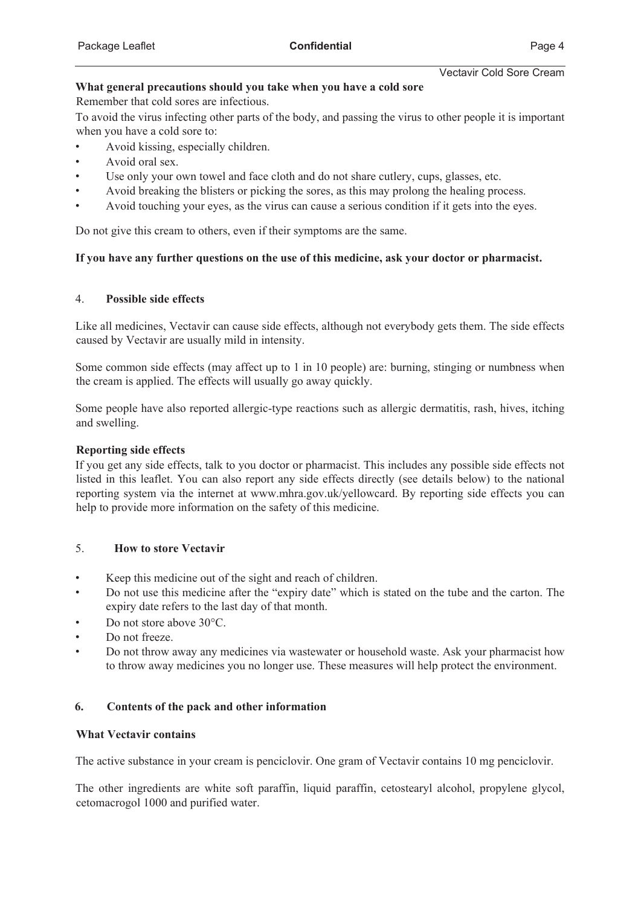#### Vectavir Cold Sore Cream

### **What general precautions should you take when you have a cold sore**

Remember that cold sores are infectious.

To avoid the virus infecting other parts of the body, and passing the virus to other people it is important when you have a cold sore to:

- Avoid kissing, especially children.
- Avoid oral sex.
- Use only your own towel and face cloth and do not share cutlery, cups, glasses, etc.
- Avoid breaking the blisters or picking the sores, as this may prolong the healing process.
- Avoid touching your eyes, as the virus can cause a serious condition if it gets into the eyes.

Do not give this cream to others, even if their symptoms are the same.

#### **If you have any further questions on the use of this medicine, ask your doctor or pharmacist.**

#### 4. **Possible side effects**

Like all medicines, Vectavir can cause side effects, although not everybody gets them. The side effects caused by Vectavir are usually mild in intensity.

Some common side effects (may affect up to 1 in 10 people) are: burning, stinging or numbness when the cream is applied. The effects will usually go away quickly.

Some people have also reported allergic-type reactions such as allergic dermatitis, rash, hives, itching and swelling.

#### **Reporting side effects**

If you get any side effects, talk to you doctor or pharmacist. This includes any possible side effects not listed in this leaflet. You can also report any side effects directly (see details below) to the national reporting system via the internet at www.mhra.gov.uk/yellowcard. By reporting side effects you can help to provide more information on the safety of this medicine.

### 5. **How to store Vectavir**

- Keep this medicine out of the sight and reach of children.
- Do not use this medicine after the "expiry date" which is stated on the tube and the carton. The expiry date refers to the last day of that month.
- Do not store above 30°C.
- Do not freeze.
- Do not throw away any medicines via wastewater or household waste. Ask your pharmacist how to throw away medicines you no longer use. These measures will help protect the environment.

#### **6. Contents of the pack and other information**

#### **What Vectavir contains**

The active substance in your cream is penciclovir. One gram of Vectavir contains 10 mg penciclovir.

The other ingredients are white soft paraffin, liquid paraffin, cetostearyl alcohol, propylene glycol, cetomacrogol 1000 and purified water.